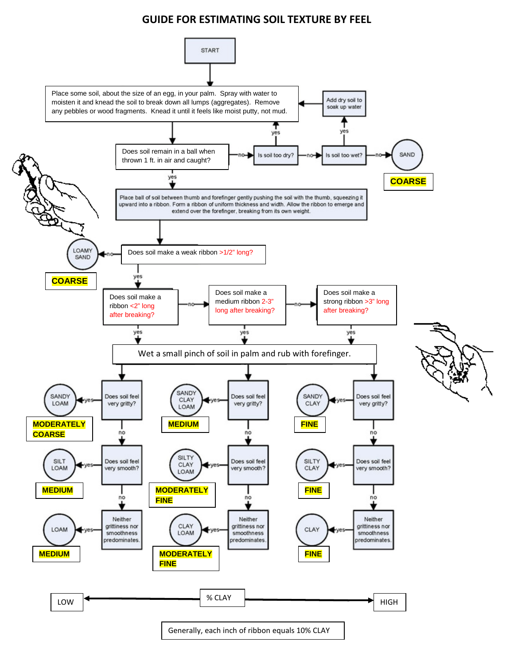## **GUIDE FOR ESTIMATING SOIL TEXTURE BY FEEL**